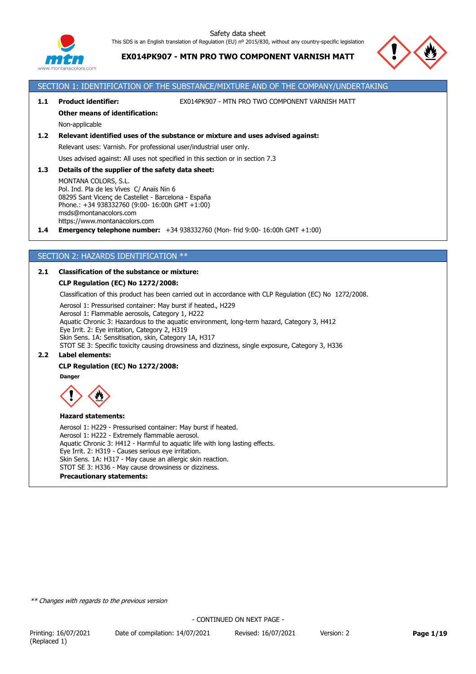

**EX014PK907 - MTN PRO TWO COMPONENT VARNISH MATT**



# SECTION 1: IDENTIFICATION OF THE SUBSTANCE/MIXTURE AND OF THE COMPANY/UNDERTAKING

**1.1 Product identifier:** EX014PK907 - MTN PRO TWO COMPONENT VARNISH MATT

## **Other means of identification:**

Non-applicable

# **1.2 Relevant identified uses of the substance or mixture and uses advised against:**

Relevant uses: Varnish. For professional user/industrial user only.

Uses advised against: All uses not specified in this section or in section 7.3

#### **1.3 Details of the supplier of the safety data sheet:**

MONTANA COLORS, S.L. Pol. Ind. Pla de les Vives C/ Anaïs Nin 6 08295 Sant Vicenç de Castellet - Barcelona - España Phone.: +34 938332760 (9:00- 16:00h GMT +1:00) msds@montanacolors.com https://www.montanacolors.com

**1.4 Emergency telephone number:** +34 938332760 (Mon- frid 9:00- 16:00h GMT +1:00)

# SECTION 2: HAZARDS IDENTIFICATION \*\*

# **2.1 Classification of the substance or mixture:**

# **CLP Regulation (EC) No 1272/2008:**

Classification of this product has been carried out in accordance with CLP Regulation (EC) No 1272/2008.

Aerosol 1: Pressurised container: May burst if heated., H229 Aerosol 1: Flammable aerosols, Category 1, H222 Aquatic Chronic 3: Hazardous to the aquatic environment, long-term hazard, Category 3, H412 Eye Irrit. 2: Eye irritation, Category 2, H319 Skin Sens. 1A: Sensitisation, skin, Category 1A, H317 STOT SE 3: Specific toxicity causing drowsiness and dizziness, single exposure, Category 3, H336

# **2.2 Label elements:**

# **CLP Regulation (EC) No 1272/2008:**

**Danger**



#### **Hazard statements:**

Aerosol 1: H229 - Pressurised container: May burst if heated. Aerosol 1: H222 - Extremely flammable aerosol. Aquatic Chronic 3: H412 - Harmful to aquatic life with long lasting effects. Eye Irrit. 2: H319 - Causes serious eye irritation. Skin Sens. 1A: H317 - May cause an allergic skin reaction. STOT SE 3: H336 - May cause drowsiness or dizziness. **Precautionary statements:**

*\*\* Changes with regards to the previous version*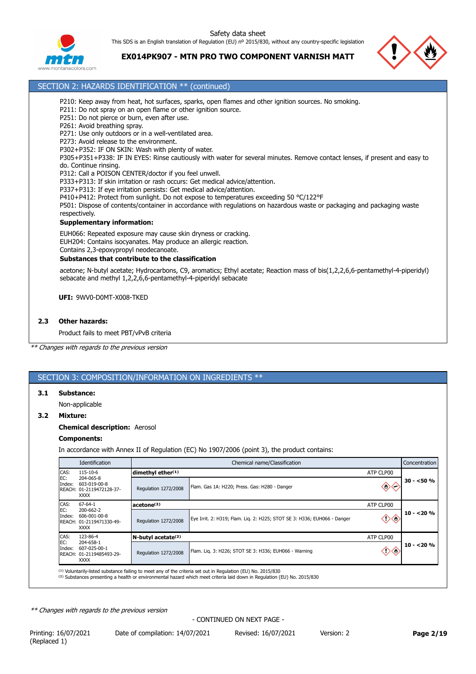

**EX014PK907 - MTN PRO TWO COMPONENT VARNISH MATT**



# SECTION 2: HAZARDS IDENTIFICATION \*\* (continued)

P210: Keep away from heat, hot surfaces, sparks, open flames and other ignition sources. No smoking.

P211: Do not spray on an open flame or other ignition source.

P251: Do not pierce or burn, even after use.

P261: Avoid breathing spray.

P271: Use only outdoors or in a well-ventilated area.

P273: Avoid release to the environment.

P302+P352: IF ON SKIN: Wash with plenty of water.

P305+P351+P338: IF IN EYES: Rinse cautiously with water for several minutes. Remove contact lenses, if present and easy to do. Continue rinsing.

P312: Call a POISON CENTER/doctor if you feel unwell.

P333+P313: If skin irritation or rash occurs: Get medical advice/attention.

P337+P313: If eye irritation persists: Get medical advice/attention.

P410+P412: Protect from sunlight. Do not expose to temperatures exceeding 50 °C/122°F

P501: Dispose of contents/container in accordance with regulations on hazardous waste or packaging and packaging waste

# respectively.

**Supplementary information:**

EUH066: Repeated exposure may cause skin dryness or cracking. EUH204: Contains isocyanates. May produce an allergic reaction. Contains 2,3-epoxypropyl neodecanoate.

# **Substances that contribute to the classification**

acetone; N-butyl acetate; Hydrocarbons, C9, aromatics; Ethyl acetate; Reaction mass of bis(1,2,2,6,6-pentamethyl-4-piperidyl) sebacate and methyl 1,2,2,6,6-pentamethyl-4-piperidyl sebacate

**UFI:** 9WV0-D0MT-X008-TKED

# **2.3 Other hazards:**

Product fails to meet PBT/vPvB criteria

*\*\* Changes with regards to the previous version*

# SECTION 3: COMPOSITION/INFORMATION ON INGREDIENTS \*\*

**3.1 Substance:**

#### Non-applicable

**3.2 Mixture:**

# **Chemical description:** Aerosol

# **Components:**

In accordance with Annex II of Regulation (EC) No 1907/2006 (point 3), the product contains:

| Identification                                                       |                        | Chemical name/Classification<br><b>Concentration</b>  |                                                                          |              |  |  |  |  |
|----------------------------------------------------------------------|------------------------|-------------------------------------------------------|--------------------------------------------------------------------------|--------------|--|--|--|--|
| $115 - 10 - 6$                                                       | dimethyl ether(1)      |                                                       | ATP CLP00                                                                |              |  |  |  |  |
| 603-019-00-8<br>REACH: 01-2119472128-37-<br><b>XXXX</b>              | Regulation 1272/2008   | Flam. Gas 1A: H220; Press. Gas: H280 - Danger         |                                                                          | $30 - 50 \%$ |  |  |  |  |
| $67 - 64 - 1$                                                        | acetone <sup>(2)</sup> |                                                       | ATP CLP00                                                                |              |  |  |  |  |
| 200-662-2<br>606-001-00-8<br>REACH: 01-2119471330-49-<br><b>XXXX</b> | Regulation 1272/2008   |                                                       |                                                                          | $10 - 20%$   |  |  |  |  |
| 123-86-4                                                             |                        |                                                       | ATP CLP00                                                                |              |  |  |  |  |
| 607-025-00-1<br>REACH: 01-2119485493-29-<br><b>XXXX</b>              | Regulation 1272/2008   | Flam. Lig. 3: H226; STOT SE 3: H336; EUH066 - Warning |                                                                          | $10 - 20%$   |  |  |  |  |
|                                                                      | 204-065-8<br>204-658-1 | N-butyl acetate <sup>(2)</sup>                        | Eye Irrit. 2: H319; Flam. Lig. 2: H225; STOT SE 3: H336; EUH066 - Danger |              |  |  |  |  |

<sup>(1)</sup> Voluntarily-listed substance failing to meet any of the criteria set out in Regulation (EU) No. 2015/830<br><sup>(2)</sup> Substances presenting a health or environmental hazard which meet criteria laid down in Regulation (EU) N

*\*\* Changes with regards to the previous version*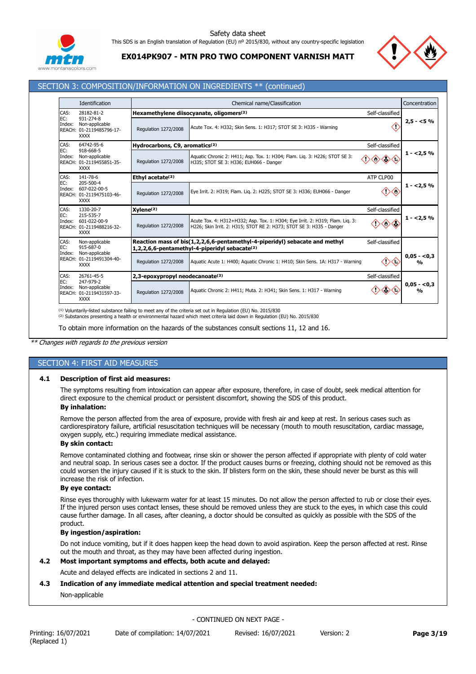



# **EX014PK907 - MTN PRO TWO COMPONENT VARNISH MATT**

# SECTION 3: COMPOSITION/INFORMATION ON INGREDIENTS \*\* (continued)

|                       | Identification                                                                       |                                                                                                                                                             | Chemical name/Classification                                                                                                                               | Concentration                           |  |  |
|-----------------------|--------------------------------------------------------------------------------------|-------------------------------------------------------------------------------------------------------------------------------------------------------------|------------------------------------------------------------------------------------------------------------------------------------------------------------|-----------------------------------------|--|--|
| CAS:                  | 28182-81-2                                                                           |                                                                                                                                                             | Hexamethylene diisocyanate, oligomers <sup>(2)</sup><br>Self-classified                                                                                    |                                         |  |  |
| EC:<br>Index:         | 931-274-8<br>Non-applicable<br>REACH: 01-2119485796-17-<br><b>XXXX</b>               | Regulation 1272/2008                                                                                                                                        | Acute Tox. 4: H332; Skin Sens. 1: H317; STOT SE 3: H335 - Warning<br>Œ.                                                                                    | $2.5 - 5%$                              |  |  |
| CAS:                  | 64742-95-6                                                                           | Hydrocarbons, C9, aromatics <sup>(2)</sup>                                                                                                                  | Self-classified                                                                                                                                            |                                         |  |  |
| EC:<br>Index:         | 918-668-5<br>Non-applicable<br>REACH: 01-2119455851-35-<br><b>XXXX</b>               | Regulation 1272/2008                                                                                                                                        | Aquatic Chronic 2: H411; Asp. Tox. 1: H304; Flam. Lig. 3: H226; STOT SE 3:<br>H335; STOT SE 3: H336; EUH066 - Danger                                       | $1 - 2,5%$                              |  |  |
| CAS:                  | 141-78-6                                                                             | Ethyl acetate <sup>(2)</sup>                                                                                                                                | ATP CLP00                                                                                                                                                  |                                         |  |  |
| EC:                   | 205-500-4<br>Index: 607-022-00-5<br>REACH: 01-2119475103-46-<br><b>XXXX</b>          | Regulation 1272/2008                                                                                                                                        | 76<br>Eye Irrit. 2: H319; Flam. Lig. 2: H225; STOT SE 3: H336; EUH066 - Danger                                                                             | $1 - 2.5%$                              |  |  |
| CAS:                  | 1330-20-7<br>215-535-7<br>601-022-00-9<br>REACH: 01-2119488216-32-<br><b>XXXX</b>    | $X$ vlene $(2)$<br>Self-classified                                                                                                                          |                                                                                                                                                            |                                         |  |  |
| EC:<br>Index:         |                                                                                      | Regulation 1272/2008                                                                                                                                        | Acute Tox. 4: H312+H332; Asp. Tox. 1: H304; Eye Irrit. 2: H319; Flam. Lig. 3:<br>◇<br>H226; Skin Irrit. 2: H315; STOT RE 2: H373; STOT SE 3: H335 - Danger | $1 - 2,5%$                              |  |  |
| CAS:<br>EC:           | Non-applicable<br>915-687-0                                                          | Reaction mass of bis(1,2,2,6,6-pentamethyl-4-piperidyl) sebacate and methyl<br>Self-classified<br>1,2,2,6,6-pentamethyl-4-piperidyl sebacate <sup>(2)</sup> |                                                                                                                                                            |                                         |  |  |
| Index:                | Non-applicable<br>REACH: 01-2119491304-40-<br><b>XXXX</b>                            | Regulation 1272/2008                                                                                                                                        | Aquatic Acute 1: H400; Aquatic Chronic 1: H410; Skin Sens. 1A: H317 - Warning                                                                              | $0.05 - 0.3$<br>$\mathbf{O}/\mathbf{O}$ |  |  |
| CAS:<br>EC:<br>Index: | 26761-45-5<br>247-979-2<br>Non-applicable<br>REACH: 01-2119431597-33-<br><b>XXXX</b> | 2,3-epoxypropyl neodecanoate <sup>(2)</sup>                                                                                                                 | Self-classified                                                                                                                                            |                                         |  |  |
|                       |                                                                                      | Regulation 1272/2008                                                                                                                                        | Aquatic Chronic 2: H411; Muta. 2: H341; Skin Sens. 1: H317 - Warning                                                                                       | $0,05 - 0.3$<br>%                       |  |  |

<sup>(1)</sup> Voluntarily-listed substance failing to meet any of the criteria set out in Regulation (EU) No. 2015/830<br><sup>(2)</sup> Substances presenting a health or environmental hazard which meet criteria laid down in Regulation (EU) N

To obtain more information on the hazards of the substances consult sections 11, 12 and 16.

*\*\* Changes with regards to the previous version*

# SECTION 4: FIRST AID MEASURES

#### **4.1 Description of first aid measures:**

The symptoms resulting from intoxication can appear after exposure, therefore, in case of doubt, seek medical attention for direct exposure to the chemical product or persistent discomfort, showing the SDS of this product.

# **By inhalation:**

Remove the person affected from the area of exposure, provide with fresh air and keep at rest. In serious cases such as cardiorespiratory failure, artificial resuscitation techniques will be necessary (mouth to mouth resuscitation, cardiac massage, oxygen supply, etc.) requiring immediate medical assistance.

#### **By skin contact:**

Remove contaminated clothing and footwear, rinse skin or shower the person affected if appropriate with plenty of cold water and neutral soap. In serious cases see a doctor. If the product causes burns or freezing, clothing should not be removed as this could worsen the injury caused if it is stuck to the skin. If blisters form on the skin, these should never be burst as this will increase the risk of infection.

# **By eye contact:**

Rinse eyes thoroughly with lukewarm water for at least 15 minutes. Do not allow the person affected to rub or close their eyes. If the injured person uses contact lenses, these should be removed unless they are stuck to the eyes, in which case this could cause further damage. In all cases, after cleaning, a doctor should be consulted as quickly as possible with the SDS of the product.

#### **By ingestion/aspiration:**

Do not induce vomiting, but if it does happen keep the head down to avoid aspiration. Keep the person affected at rest. Rinse out the mouth and throat, as they may have been affected during ingestion.

**4.2 Most important symptoms and effects, both acute and delayed:**

Acute and delayed effects are indicated in sections 2 and 11.

### **4.3 Indication of any immediate medical attention and special treatment needed:**

Non-applicable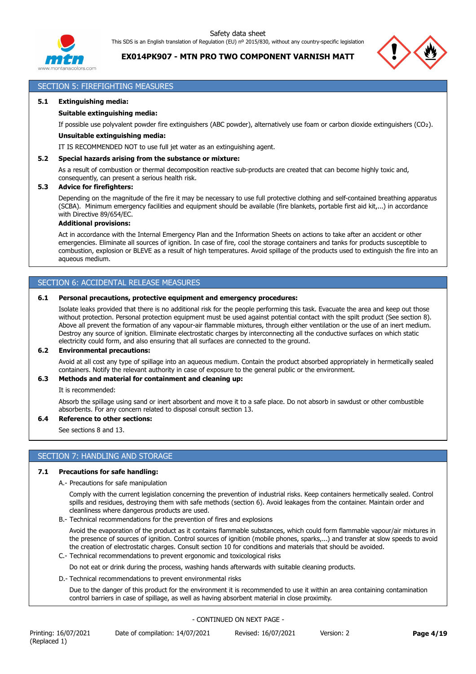

# **EX014PK907 - MTN PRO TWO COMPONENT VARNISH MATT**



# SECTION 5: FIREFIGHTING MEASURES

#### **5.1 Extinguishing media:**

#### **Suitable extinguishing media:**

If possible use polyvalent powder fire extinguishers (ABC powder), alternatively use foam or carbon dioxide extinguishers (CO₂).

#### **Unsuitable extinguishing media:**

IT IS RECOMMENDED NOT to use full jet water as an extinguishing agent.

#### **5.2 Special hazards arising from the substance or mixture:**

As a result of combustion or thermal decomposition reactive sub-products are created that can become highly toxic and, consequently, can present a serious health risk.

### **5.3 Advice for firefighters:**

Depending on the magnitude of the fire it may be necessary to use full protective clothing and self-contained breathing apparatus (SCBA). Minimum emergency facilities and equipment should be available (fire blankets, portable first aid kit,...) in accordance with Directive 89/654/EC.

# **Additional provisions:**

Act in accordance with the Internal Emergency Plan and the Information Sheets on actions to take after an accident or other emergencies. Eliminate all sources of ignition. In case of fire, cool the storage containers and tanks for products susceptible to combustion, explosion or BLEVE as a result of high temperatures. Avoid spillage of the products used to extinguish the fire into an aqueous medium.

# SECTION 6: ACCIDENTAL RELEASE MEASURES

#### **6.1 Personal precautions, protective equipment and emergency procedures:**

Isolate leaks provided that there is no additional risk for the people performing this task. Evacuate the area and keep out those without protection. Personal protection equipment must be used against potential contact with the spilt product (See section 8). Above all prevent the formation of any vapour-air flammable mixtures, through either ventilation or the use of an inert medium. Destroy any source of ignition. Eliminate electrostatic charges by interconnecting all the conductive surfaces on which static electricity could form, and also ensuring that all surfaces are connected to the ground.

#### **6.2 Environmental precautions:**

Avoid at all cost any type of spillage into an aqueous medium. Contain the product absorbed appropriately in hermetically sealed containers. Notify the relevant authority in case of exposure to the general public or the environment.

# **6.3 Methods and material for containment and cleaning up:**

It is recommended:

Absorb the spillage using sand or inert absorbent and move it to a safe place. Do not absorb in sawdust or other combustible absorbents. For any concern related to disposal consult section 13.

# **6.4 Reference to other sections:**

See sections 8 and 13.

# SECTION 7: HANDLING AND STORAGE

# **7.1 Precautions for safe handling:**

A.- Precautions for safe manipulation

Comply with the current legislation concerning the prevention of industrial risks. Keep containers hermetically sealed. Control spills and residues, destroying them with safe methods (section 6). Avoid leakages from the container. Maintain order and cleanliness where dangerous products are used.

B.- Technical recommendations for the prevention of fires and explosions

Avoid the evaporation of the product as it contains flammable substances, which could form flammable vapour/air mixtures in the presence of sources of ignition. Control sources of ignition (mobile phones, sparks,...) and transfer at slow speeds to avoid the creation of electrostatic charges. Consult section 10 for conditions and materials that should be avoided.

C.- Technical recommendations to prevent ergonomic and toxicological risks

Do not eat or drink during the process, washing hands afterwards with suitable cleaning products.

D.- Technical recommendations to prevent environmental risks

Due to the danger of this product for the environment it is recommended to use it within an area containing contamination control barriers in case of spillage, as well as having absorbent material in close proximity.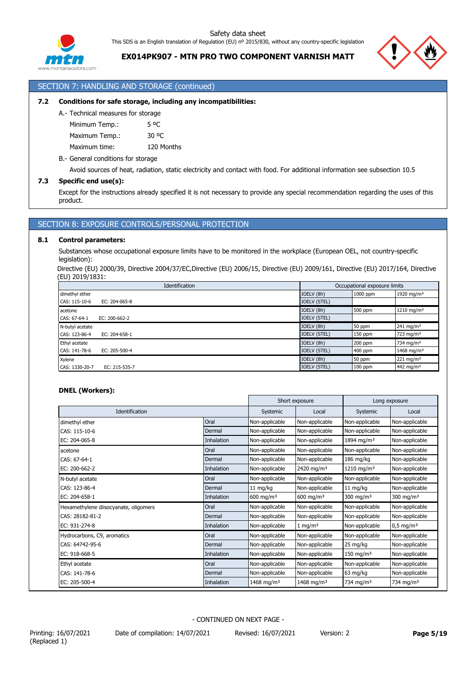



# SECTION 7: HANDLING AND STORAGE (continued)

# **7.2 Conditions for safe storage, including any incompatibilities:**

A.- Technical measures for storage

Minimum Temp.: 5 °C Maximum Temp.: 30 °C

Maximum time: 120 Months

## B.- General conditions for storage

Avoid sources of heat, radiation, static electricity and contact with food. For additional information see subsection 10.5

#### **7.3 Specific end use(s):**

Except for the instructions already specified it is not necessary to provide any special recommendation regarding the uses of this product.

# SECTION 8: EXPOSURE CONTROLS/PERSONAL PROTECTION

### **8.1 Control parameters:**

Substances whose occupational exposure limits have to be monitored in the workplace (European OEL, not country-specific legislation):

Directive (EU) 2000/39, Directive 2004/37/EC,Directive (EU) 2006/15, Directive (EU) 2009/161, Directive (EU) 2017/164, Directive (EU) 2019/1831:

|                 | Identification  | Occupational exposure limits |           |                        |  |
|-----------------|-----------------|------------------------------|-----------|------------------------|--|
| dimethyl ether  |                 | IOELV (8h)                   | 1000 ppm  | 1920 mg/m <sup>3</sup> |  |
| CAS: 115-10-6   | EC: $204-065-8$ | <b>IOELV (STEL)</b>          |           |                        |  |
| acetone         |                 | IOELV (8h)                   | 500 ppm   | 1210 mg/m <sup>3</sup> |  |
| CAS: 67-64-1    | EC: 200-662-2   | <b>IOELV (STEL)</b>          |           |                        |  |
| N-butyl acetate |                 | IOELV (8h)                   | 50 ppm    | 241 mg/m <sup>3</sup>  |  |
| CAS: 123-86-4   | EC: 204-658-1   | <b>IOELV (STEL)</b>          | 150 ppm   | 723 mg/m $3$           |  |
| Ethyl acetate   |                 | IOELV (8h)                   | 200 ppm   | 734 mg/m <sup>3</sup>  |  |
| CAS: 141-78-6   | EC: 205-500-4   | <b>IOELV (STEL)</b>          | 400 ppm   | 1468 mg/m <sup>3</sup> |  |
| Xylene          |                 | IOELV (8h)                   | 50 ppm    | 221 mg/m <sup>3</sup>  |  |
| CAS: 1330-20-7  | EC: 215-535-7   | <b>IOELV (STEL)</b>          | $100$ ppm | 442 mg/m <sup>3</sup>  |  |

## **DNEL (Workers):**

|                                       |                   |                        | Short exposure         |                         | Long exposure         |  |
|---------------------------------------|-------------------|------------------------|------------------------|-------------------------|-----------------------|--|
| Identification                        |                   | Systemic               | Local                  | Systemic                | Local                 |  |
| dimethyl ether                        | Oral              | Non-applicable         | Non-applicable         | Non-applicable          | Non-applicable        |  |
| CAS: 115-10-6                         | Dermal            | Non-applicable         | Non-applicable         | Non-applicable          | Non-applicable        |  |
| EC: 204-065-8                         | Inhalation        | Non-applicable         | Non-applicable         | 1894 mg/m <sup>3</sup>  | Non-applicable        |  |
| acetone                               | Oral              | Non-applicable         | Non-applicable         | Non-applicable          | Non-applicable        |  |
| CAS: 67-64-1                          | Dermal            | Non-applicable         | Non-applicable         | $186$ mg/kg             | Non-applicable        |  |
| EC: 200-662-2                         | Inhalation        | Non-applicable         | 2420 mg/m <sup>3</sup> | 1210 mg/m <sup>3</sup>  | Non-applicable        |  |
| N-butyl acetate                       | Oral              | Non-applicable         | Non-applicable         | Non-applicable          | Non-applicable        |  |
| CAS: 123-86-4                         | Dermal            | $11 \text{ mg/kg}$     | Non-applicable         | $11 \text{ mg/kg}$      | Non-applicable        |  |
| EC: 204-658-1                         | <b>Inhalation</b> | 600 mg/m <sup>3</sup>  | 600 mg/m <sup>3</sup>  | 300 mg/m $3$            | 300 mg/m <sup>3</sup> |  |
| Hexamethylene diisocyanate, oligomers | Oral              | Non-applicable         | Non-applicable         | Non-applicable          | Non-applicable        |  |
| CAS: 28182-81-2                       | Dermal            | Non-applicable         | Non-applicable         | Non-applicable          | Non-applicable        |  |
| EC: 931-274-8                         | Inhalation        | Non-applicable         | $1 \text{ mg/m}^3$     | Non-applicable          | $0,5 \text{ mg/m}^3$  |  |
| Hydrocarbons, C9, aromatics           | Oral              | Non-applicable         | Non-applicable         | Non-applicable          | Non-applicable        |  |
| CAS: 64742-95-6                       | Dermal            | Non-applicable         | Non-applicable         | 25 mg/kg                | Non-applicable        |  |
| EC: 918-668-5                         | Inhalation        | Non-applicable         | Non-applicable         | $150$ mg/m <sup>3</sup> | Non-applicable        |  |
| Ethyl acetate                         | Oral              | Non-applicable         | Non-applicable         | Non-applicable          | Non-applicable        |  |
| CAS: 141-78-6                         | Dermal            | Non-applicable         | Non-applicable         | $63$ mg/kg              | Non-applicable        |  |
| EC: 205-500-4                         | Inhalation        | 1468 mg/m <sup>3</sup> | 1468 mg/m <sup>3</sup> | 734 mg/m <sup>3</sup>   | 734 mg/m <sup>3</sup> |  |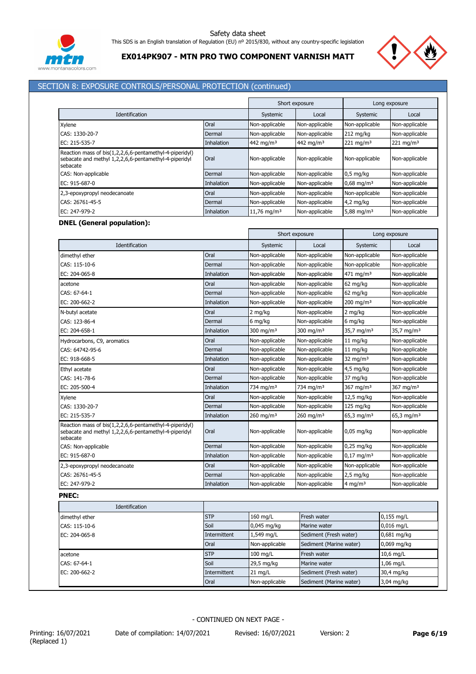

# **EX014PK907 - MTN PRO TWO COMPONENT VARNISH MATT**



# SECTION 8: EXPOSURE CONTROLS/PERSONAL PROTECTION (continued)

|                                                                                                                              |                   | Short exposure          | Long exposure         |                          |                      |
|------------------------------------------------------------------------------------------------------------------------------|-------------------|-------------------------|-----------------------|--------------------------|----------------------|
| <b>Identification</b>                                                                                                        |                   | Systemic                | Local                 | Systemic                 | Local                |
| Xylene                                                                                                                       | Oral              | Non-applicable          | Non-applicable        | Non-applicable           | Non-applicable       |
| CAS: 1330-20-7                                                                                                               | Dermal            | Non-applicable          | Non-applicable        | 212 mg/kg                | Non-applicable       |
| EC: 215-535-7                                                                                                                | <b>Inhalation</b> | 442 mg/m <sup>3</sup>   | 442 mg/m <sup>3</sup> | $221 \text{ mg/m}^3$     | $221 \text{ mg/m}^3$ |
| Reaction mass of bis(1,2,2,6,6-pentamethyl-4-piperidyl)<br>sebacate and methyl 1,2,2,6,6-pentamethyl-4-piperidyl<br>sebacate | Oral              | Non-applicable          | Non-applicable        | Non-applicable           | Non-applicable       |
| CAS: Non-applicable                                                                                                          | Dermal            | Non-applicable          | Non-applicable        | $0.5$ mg/kg              | Non-applicable       |
| EC: 915-687-0                                                                                                                | Inhalation        | Non-applicable          | Non-applicable        | $0.68$ mg/m <sup>3</sup> | Non-applicable       |
| 2,3-epoxypropyl neodecanoate                                                                                                 | Oral              | Non-applicable          | Non-applicable        | Non-applicable           | Non-applicable       |
| CAS: 26761-45-5                                                                                                              | Dermal            | Non-applicable          | Non-applicable        | $4,2$ mg/kg              | Non-applicable       |
| EC: 247-979-2                                                                                                                | Inhalation        | 11,76 mg/m <sup>3</sup> | Non-applicable        | 5,88 mg/m <sup>3</sup>   | Non-applicable       |

# **DNEL (General population):**

|                                                                                                                              |              |                       | Short exposure          |                                        | Long exposure |                          |
|------------------------------------------------------------------------------------------------------------------------------|--------------|-----------------------|-------------------------|----------------------------------------|---------------|--------------------------|
| Identification                                                                                                               |              | Systemic              | Local                   | Systemic                               |               | Local                    |
| dimethyl ether                                                                                                               | Oral         | Non-applicable        | Non-applicable          | Non-applicable                         |               | Non-applicable           |
| CAS: 115-10-6                                                                                                                | Dermal       | Non-applicable        | Non-applicable          | Non-applicable                         |               | Non-applicable           |
| EC: 204-065-8                                                                                                                | Inhalation   | Non-applicable        | Non-applicable          | $471 \text{ mg/m}^3$                   |               | Non-applicable           |
| acetone                                                                                                                      | Oral         | Non-applicable        | Non-applicable          | 62 mg/kg                               |               | Non-applicable           |
| CAS: 67-64-1                                                                                                                 | Dermal       | Non-applicable        | Non-applicable          | 62 mg/kg                               |               | Non-applicable           |
| EC: 200-662-2                                                                                                                | Inhalation   | Non-applicable        | Non-applicable          | $200$ mg/m <sup>3</sup>                |               | Non-applicable           |
| N-butyl acetate                                                                                                              | Oral         | 2 mg/kg               | Non-applicable          | 2 mg/kg                                |               | Non-applicable           |
| CAS: 123-86-4                                                                                                                | Dermal       | 6 mg/kg               | Non-applicable          | 6 mg/kg                                |               | Non-applicable           |
| EC: 204-658-1                                                                                                                | Inhalation   | 300 mg/m <sup>3</sup> | 300 mg/m $3$            | 35,7 mg/m <sup>3</sup>                 |               | $35,7 \,\mathrm{mg/m^3}$ |
| Hydrocarbons, C9, aromatics                                                                                                  | Oral         | Non-applicable        | Non-applicable          | $11 \text{ mg/kg}$                     |               | Non-applicable           |
| CAS: 64742-95-6                                                                                                              | Dermal       | Non-applicable        | Non-applicable          | $11 \text{ mg/kg}$                     |               | Non-applicable           |
| EC: 918-668-5                                                                                                                | Inhalation   | Non-applicable        | Non-applicable          | 32 mg/m $3$                            |               | Non-applicable           |
| Ethyl acetate                                                                                                                | Oral         | Non-applicable        | Non-applicable          | $4,5$ mg/kg                            |               | Non-applicable           |
| CAS: 141-78-6                                                                                                                | Dermal       | Non-applicable        | Non-applicable          | 37 mg/kg                               |               | Non-applicable           |
| EC: 205-500-4                                                                                                                | Inhalation   | 734 mg/m <sup>3</sup> | 734 mg/m <sup>3</sup>   | $367$ mg/m <sup>3</sup>                |               | 367 mg/m $3$             |
| Xylene                                                                                                                       | Oral         | Non-applicable        | Non-applicable          | $12,5$ mg/kg                           |               | Non-applicable           |
| CAS: 1330-20-7                                                                                                               | Dermal       | Non-applicable        | Non-applicable          | $125 \text{ mg/kg}$                    |               | Non-applicable           |
| EC: 215-535-7                                                                                                                | Inhalation   | 260 mg/m <sup>3</sup> | 260 mg/m <sup>3</sup>   | 65,3 mg/m <sup>3</sup>                 |               | $65,3$ mg/m <sup>3</sup> |
| Reaction mass of bis(1,2,2,6,6-pentamethyl-4-piperidyl)<br>sebacate and methyl 1,2,2,6,6-pentamethyl-4-piperidyl<br>sebacate | Oral         | Non-applicable        | Non-applicable          | $0.05$ mg/kg                           |               | Non-applicable           |
| CAS: Non-applicable                                                                                                          | Dermal       | Non-applicable        | Non-applicable          | $0,25$ mg/kg                           |               | Non-applicable           |
| EC: 915-687-0                                                                                                                | Inhalation   | Non-applicable        | Non-applicable          | $0.17$ mg/m <sup>3</sup>               |               | Non-applicable           |
| 2,3-epoxypropyl neodecanoate                                                                                                 | Oral         | Non-applicable        | Non-applicable          | Non-applicable                         |               | Non-applicable           |
| CAS: 26761-45-5                                                                                                              | Dermal       | Non-applicable        | Non-applicable          | 2,5 mg/kg                              |               | Non-applicable           |
| EC: 247-979-2                                                                                                                | Inhalation   | Non-applicable        | Non-applicable          | 4 mg/m $3$                             |               | Non-applicable           |
| <b>PNEC:</b>                                                                                                                 |              |                       |                         |                                        |               |                          |
| Identification                                                                                                               |              |                       |                         |                                        |               |                          |
| dimethyl ether                                                                                                               | <b>STP</b>   | 160 mg/L              | Fresh water             |                                        |               | $0,155$ mg/L             |
| CAS: 115-10-6                                                                                                                | Soil         | 0,045 mg/kg           | Marine water            |                                        |               | 0,016 mg/L               |
| EC: 204-065-8                                                                                                                | Intermittent | 1,549 mg/L            | Sediment (Fresh water)  | 0,681 mg/kg                            |               |                          |
|                                                                                                                              | Oral         | Non-applicable        |                         | 0,069 mg/kg<br>Sediment (Marine water) |               |                          |
| acetone                                                                                                                      | <b>STP</b>   | $100$ mg/L            | Fresh water             |                                        |               | 10,6 mg/L                |
| CAS: 67-64-1                                                                                                                 | Soil         | 29,5 mg/kg            | Marine water            |                                        |               | $1,06$ mg/L              |
| EC: 200-662-2                                                                                                                | Intermittent | 21 mg/L               | Sediment (Fresh water)  |                                        |               | 30,4 mg/kg               |
|                                                                                                                              | Oral         | Non-applicable        | Sediment (Marine water) |                                        |               | 3,04 mg/kg               |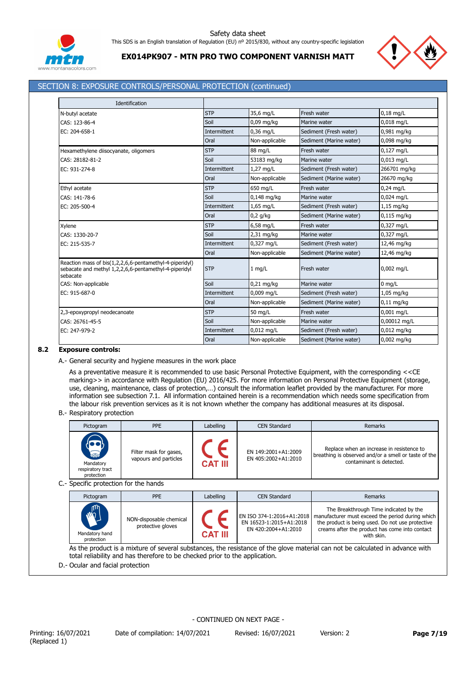



# **EX014PK907 - MTN PRO TWO COMPONENT VARNISH MATT**

# SECTION 8: EXPOSURE CONTROLS/PERSONAL PROTECTION (continued)

| Identification                                                                                                               |              |                |                         |               |
|------------------------------------------------------------------------------------------------------------------------------|--------------|----------------|-------------------------|---------------|
| N-butyl acetate                                                                                                              | <b>STP</b>   | 35,6 mg/L      | Fresh water             | $0.18$ mg/L   |
| CAS: 123-86-4                                                                                                                | Soil         | $0,09$ mg/kg   | Marine water            | 0,018 mg/L    |
| EC: 204-658-1                                                                                                                | Intermittent | 0,36 mg/L      | Sediment (Fresh water)  | 0,981 mg/kg   |
|                                                                                                                              | Oral         | Non-applicable | Sediment (Marine water) | 0,098 mg/kg   |
| Hexamethylene diisocyanate, oligomers                                                                                        | <b>STP</b>   | 88 mg/L        | Fresh water             | $0,127$ mg/L  |
| CAS: 28182-81-2                                                                                                              | Soil         | 53183 mg/kg    | Marine water            | 0,013 mg/L    |
| EC: 931-274-8                                                                                                                | Intermittent | 1,27 mg/L      | Sediment (Fresh water)  | 266701 mg/kg  |
|                                                                                                                              | Oral         | Non-applicable | Sediment (Marine water) | 26670 mg/kg   |
| Ethyl acetate                                                                                                                | <b>STP</b>   | 650 mg/L       | Fresh water             | $0.24$ mg/L   |
| CAS: 141-78-6                                                                                                                | Soil         | 0,148 mg/kg    | Marine water            | 0,024 mg/L    |
| EC: 205-500-4                                                                                                                | Intermittent | $1,65$ mg/L    | Sediment (Fresh water)  | $1,15$ mg/kg  |
|                                                                                                                              | Oral         | $0,2$ g/kg     | Sediment (Marine water) | $0,115$ mg/kg |
| Xylene                                                                                                                       | <b>STP</b>   | 6,58 mg/L      | Fresh water             | 0,327 mg/L    |
| CAS: 1330-20-7                                                                                                               | Soil         | 2,31 mg/kg     | Marine water            | 0,327 mg/L    |
| EC: 215-535-7                                                                                                                | Intermittent | 0,327 mg/L     | Sediment (Fresh water)  | 12,46 mg/kg   |
|                                                                                                                              | Oral         | Non-applicable | Sediment (Marine water) | 12,46 mg/kg   |
| Reaction mass of bis(1,2,2,6,6-pentamethyl-4-piperidyl)<br>sebacate and methyl 1,2,2,6,6-pentamethyl-4-piperidyl<br>sebacate | <b>STP</b>   | $1$ mg/L       | Fresh water             | 0,002 mg/L    |
| CAS: Non-applicable                                                                                                          | Soil         | $0,21$ mg/kg   | Marine water            | $0$ mg/L      |
| EC: 915-687-0                                                                                                                | Intermittent | 0,009 mg/L     | Sediment (Fresh water)  | 1,05 mg/kg    |
|                                                                                                                              | Oral         | Non-applicable | Sediment (Marine water) | $0,11$ mg/kg  |
| 2,3-epoxypropyl neodecanoate                                                                                                 | <b>STP</b>   | 50 mg/L        | Fresh water             | $0,001$ mg/L  |
| CAS: 26761-45-5                                                                                                              | Soil         | Non-applicable | Marine water            | 0,00012 mg/L  |
| EC: 247-979-2                                                                                                                | Intermittent | 0,012 mg/L     | Sediment (Fresh water)  | 0,012 mg/kg   |
|                                                                                                                              | Oral         | Non-applicable | Sediment (Marine water) | 0,002 mg/kg   |

# **8.2 Exposure controls:**

A.- General security and hygiene measures in the work place

As a preventative measure it is recommended to use basic Personal Protective Equipment, with the corresponding <<CE marking>> in accordance with Regulation (EU) 2016/425. For more information on Personal Protective Equipment (storage, use, cleaning, maintenance, class of protection,…) consult the information leaflet provided by the manufacturer. For more information see subsection 7.1. All information contained herein is a recommendation which needs some specification from the labour risk prevention services as it is not known whether the company has additional measures at its disposal.

B.- Respiratory protection

| $\mathsf{C}_{\mathsf{CAT}\,\mathsf{III}}$<br>Replace when an increase in resistence to<br>Filter mask for gases,<br>EN 149:2001+A1:2009<br>vapours and particles<br>EN 405:2002+A1:2010<br>contaminant is detected.<br>Mandatory<br>respiratory tract<br>protection<br>Labelling<br>Pictogram<br><b>PPE</b><br><b>CEN Standard</b><br><b>Remarks</b><br>ſſ۱<br>The Breakthrough Time indicated by the<br>N۱<br>EN ISO 374-1:2016+A1:2018<br>NON-disposable chemical<br>the product is being used. Do not use protective<br>EN 16523-1:2015+A1:2018<br>protective gloves<br>creams after the product has come into contact<br>EN 420:2004+A1:2010<br><b>CAT III</b><br>Mandatory hand<br>with skin.<br>protection |                                       | Pictogram | Labelling<br><b>PPE</b><br><b>CEN Standard</b><br><b>Remarks</b> |  |  |                                                      |  |  |  |  |  |
|------------------------------------------------------------------------------------------------------------------------------------------------------------------------------------------------------------------------------------------------------------------------------------------------------------------------------------------------------------------------------------------------------------------------------------------------------------------------------------------------------------------------------------------------------------------------------------------------------------------------------------------------------------------------------------------------------------------|---------------------------------------|-----------|------------------------------------------------------------------|--|--|------------------------------------------------------|--|--|--|--|--|
|                                                                                                                                                                                                                                                                                                                                                                                                                                                                                                                                                                                                                                                                                                                  |                                       |           |                                                                  |  |  | breathing is observed and/or a smell or taste of the |  |  |  |  |  |
|                                                                                                                                                                                                                                                                                                                                                                                                                                                                                                                                                                                                                                                                                                                  | C.- Specific protection for the hands |           |                                                                  |  |  |                                                      |  |  |  |  |  |
|                                                                                                                                                                                                                                                                                                                                                                                                                                                                                                                                                                                                                                                                                                                  |                                       |           |                                                                  |  |  |                                                      |  |  |  |  |  |
|                                                                                                                                                                                                                                                                                                                                                                                                                                                                                                                                                                                                                                                                                                                  |                                       |           |                                                                  |  |  | manufacturer must exceed the period during which     |  |  |  |  |  |

D.- Ocular and facial protection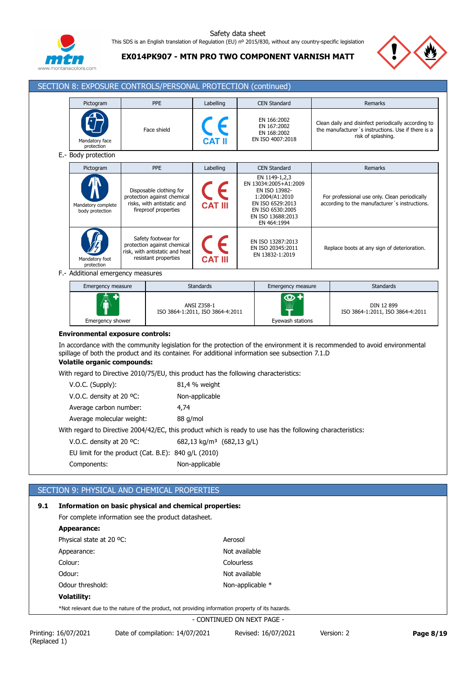

**EX014PK907 - MTN PRO TWO COMPONENT VARNISH MATT**



|     | SECTION 8: EXPOSURE CONTROLS/PERSONAL PROTECTION (continued)                                                                                                                                                                                                                                                                                                                                                                                                                                                                                                                                                                                                                                                                                                                                          |                   |  |                                                                                                              |                                                 |               |                                                                                                                                                       |  |                                                                                                                                 |
|-----|-------------------------------------------------------------------------------------------------------------------------------------------------------------------------------------------------------------------------------------------------------------------------------------------------------------------------------------------------------------------------------------------------------------------------------------------------------------------------------------------------------------------------------------------------------------------------------------------------------------------------------------------------------------------------------------------------------------------------------------------------------------------------------------------------------|-------------------|--|--------------------------------------------------------------------------------------------------------------|-------------------------------------------------|---------------|-------------------------------------------------------------------------------------------------------------------------------------------------------|--|---------------------------------------------------------------------------------------------------------------------------------|
|     | Pictogram                                                                                                                                                                                                                                                                                                                                                                                                                                                                                                                                                                                                                                                                                                                                                                                             |                   |  | PPE                                                                                                          | Labelling                                       |               | <b>CEN Standard</b>                                                                                                                                   |  | Remarks                                                                                                                         |
|     | Mandatory face<br>protection                                                                                                                                                                                                                                                                                                                                                                                                                                                                                                                                                                                                                                                                                                                                                                          |                   |  | Face shield                                                                                                  |                                                 |               | EN 166:2002<br>EN 167:2002<br>EN 168:2002<br>EN ISO 4007:2018                                                                                         |  | Clean daily and disinfect periodically according to<br>the manufacturer's instructions. Use if there is a<br>risk of splashing. |
|     | E.- Body protection                                                                                                                                                                                                                                                                                                                                                                                                                                                                                                                                                                                                                                                                                                                                                                                   |                   |  |                                                                                                              |                                                 |               |                                                                                                                                                       |  |                                                                                                                                 |
|     | Pictogram                                                                                                                                                                                                                                                                                                                                                                                                                                                                                                                                                                                                                                                                                                                                                                                             |                   |  | PPE                                                                                                          | Labelling                                       |               | <b>CEN Standard</b>                                                                                                                                   |  | Remarks                                                                                                                         |
|     | Mandatory complete<br>body protection                                                                                                                                                                                                                                                                                                                                                                                                                                                                                                                                                                                                                                                                                                                                                                 |                   |  | Disposable clothing for<br>protection against chemical<br>risks, with antistatic and<br>fireproof properties | <b>CAT III</b>                                  |               | EN 1149-1,2,3<br>EN 13034:2005+A1:2009<br>EN ISO 13982-<br>1:2004/A1:2010<br>EN ISO 6529:2013<br>EN ISO 6530:2005<br>EN ISO 13688:2013<br>EN 464:1994 |  | For professional use only. Clean periodically<br>according to the manufacturer's instructions.                                  |
|     | Mandatory foot<br>protection                                                                                                                                                                                                                                                                                                                                                                                                                                                                                                                                                                                                                                                                                                                                                                          |                   |  | Safety footwear for<br>protection against chemical<br>risk, with antistatic and heat<br>resistant properties |                                                 |               | EN ISO 13287:2013<br>EN ISO 20345:2011<br>EN 13832-1:2019                                                                                             |  | Replace boots at any sign of deterioration.                                                                                     |
|     | F.- Additional emergency measures                                                                                                                                                                                                                                                                                                                                                                                                                                                                                                                                                                                                                                                                                                                                                                     |                   |  |                                                                                                              |                                                 |               |                                                                                                                                                       |  |                                                                                                                                 |
|     |                                                                                                                                                                                                                                                                                                                                                                                                                                                                                                                                                                                                                                                                                                                                                                                                       | Emergency measure |  |                                                                                                              | <b>Standards</b>                                |               | Emergency measure                                                                                                                                     |  | <b>Standards</b>                                                                                                                |
|     |                                                                                                                                                                                                                                                                                                                                                                                                                                                                                                                                                                                                                                                                                                                                                                                                       | Emergency shower  |  |                                                                                                              | ANSI Z358-1<br>ISO 3864-1:2011, ISO 3864-4:2011 |               | ထ -<br>Eyewash stations                                                                                                                               |  | DIN 12 899<br>ISO 3864-1:2011, ISO 3864-4:2011                                                                                  |
|     | In accordance with the community legislation for the protection of the environment it is recommended to avoid environmental<br>spillage of both the product and its container. For additional information see subsection 7.1.D<br><b>Volatile organic compounds:</b><br>With regard to Directive 2010/75/EU, this product has the following characteristics:<br>V.O.C. (Supply):<br>81,4 % weight<br>V.O.C. density at 20 °C:<br>Non-applicable<br>Average carbon number:<br>4,74<br>Average molecular weight:<br>88 g/mol<br>With regard to Directive 2004/42/EC, this product which is ready to use has the following characteristics:<br>V.O.C. density at 20 °C:<br>682,13 kg/m <sup>3</sup> (682,13 g/L)<br>EU limit for the product (Cat. B.E): 840 g/L (2010)<br>Components:<br>Non-applicable |                   |  |                                                                                                              |                                                 |               |                                                                                                                                                       |  |                                                                                                                                 |
|     | SECTION 9: PHYSICAL AND CHEMICAL PROPERTIES                                                                                                                                                                                                                                                                                                                                                                                                                                                                                                                                                                                                                                                                                                                                                           |                   |  |                                                                                                              |                                                 |               |                                                                                                                                                       |  |                                                                                                                                 |
| 9.1 | Information on basic physical and chemical properties:                                                                                                                                                                                                                                                                                                                                                                                                                                                                                                                                                                                                                                                                                                                                                |                   |  |                                                                                                              |                                                 |               |                                                                                                                                                       |  |                                                                                                                                 |
|     |                                                                                                                                                                                                                                                                                                                                                                                                                                                                                                                                                                                                                                                                                                                                                                                                       |                   |  | For complete information see the product datasheet.                                                          |                                                 |               |                                                                                                                                                       |  |                                                                                                                                 |
|     | <b>Appearance:</b>                                                                                                                                                                                                                                                                                                                                                                                                                                                                                                                                                                                                                                                                                                                                                                                    |                   |  |                                                                                                              |                                                 |               |                                                                                                                                                       |  |                                                                                                                                 |
|     | Physical state at 20 °C:                                                                                                                                                                                                                                                                                                                                                                                                                                                                                                                                                                                                                                                                                                                                                                              |                   |  |                                                                                                              | Aerosol                                         |               |                                                                                                                                                       |  |                                                                                                                                 |
|     | Appearance:                                                                                                                                                                                                                                                                                                                                                                                                                                                                                                                                                                                                                                                                                                                                                                                           |                   |  |                                                                                                              |                                                 | Not available |                                                                                                                                                       |  |                                                                                                                                 |
|     | Colour:                                                                                                                                                                                                                                                                                                                                                                                                                                                                                                                                                                                                                                                                                                                                                                                               |                   |  |                                                                                                              |                                                 | Colourless    |                                                                                                                                                       |  |                                                                                                                                 |
|     | Odour:                                                                                                                                                                                                                                                                                                                                                                                                                                                                                                                                                                                                                                                                                                                                                                                                |                   |  |                                                                                                              |                                                 | Not available |                                                                                                                                                       |  |                                                                                                                                 |
|     | Odour threshold:                                                                                                                                                                                                                                                                                                                                                                                                                                                                                                                                                                                                                                                                                                                                                                                      |                   |  |                                                                                                              |                                                 |               | Non-applicable *                                                                                                                                      |  |                                                                                                                                 |

- CONTINUED ON NEXT PAGE -

**Volatility:**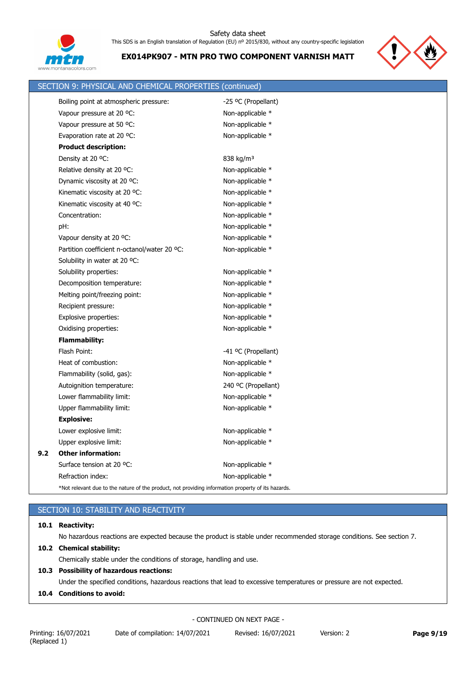



|     | SECTION 9: PHYSICAL AND CHEMICAL PROPERTIES (continued) |                       |
|-----|---------------------------------------------------------|-----------------------|
|     | Boiling point at atmospheric pressure:                  | -25 °C (Propellant)   |
|     | Vapour pressure at 20 °C:                               | Non-applicable *      |
|     | Vapour pressure at 50 °C:                               | Non-applicable *      |
|     | Evaporation rate at 20 °C:                              | Non-applicable *      |
|     | <b>Product description:</b>                             |                       |
|     | Density at 20 °C:                                       | 838 kg/m <sup>3</sup> |
|     | Relative density at 20 °C:                              | Non-applicable *      |
|     | Dynamic viscosity at 20 °C:                             | Non-applicable *      |
|     | Kinematic viscosity at 20 °C:                           | Non-applicable *      |
|     | Kinematic viscosity at 40 °C:                           | Non-applicable *      |
|     | Concentration:                                          | Non-applicable *      |
|     | pH:                                                     | Non-applicable *      |
|     | Vapour density at 20 °C:                                | Non-applicable *      |
|     | Partition coefficient n-octanol/water 20 °C:            | Non-applicable *      |
|     | Solubility in water at 20 °C:                           |                       |
|     | Solubility properties:                                  | Non-applicable *      |
|     | Decomposition temperature:                              | Non-applicable *      |
|     | Melting point/freezing point:                           | Non-applicable *      |
|     | Recipient pressure:                                     | Non-applicable *      |
|     | Explosive properties:                                   | Non-applicable *      |
|     | Oxidising properties:                                   | Non-applicable *      |
|     | <b>Flammability:</b>                                    |                       |
|     | Flash Point:                                            | -41 °C (Propellant)   |
|     | Heat of combustion:                                     | Non-applicable *      |
|     | Flammability (solid, gas):                              | Non-applicable *      |
|     | Autoignition temperature:                               | 240 °C (Propellant)   |
|     | Lower flammability limit:                               | Non-applicable *      |
|     | Upper flammability limit:                               | Non-applicable *      |
|     | <b>Explosive:</b>                                       |                       |
|     | Lower explosive limit:                                  | Non-applicable *      |
|     | Upper explosive limit:                                  | Non-applicable *      |
| 9.2 | <b>Other information:</b>                               |                       |
|     | Surface tension at 20 °C:                               | Non-applicable *      |
|     | Refraction index:                                       | Non-applicable *      |
|     |                                                         |                       |

\*Not relevant due to the nature of the product, not providing information property of its hazards.

|  | SECTION 10: STABILITY AND REACTIVITY |  |
|--|--------------------------------------|--|
|  |                                      |  |

# **10.1 Reactivity:**

No hazardous reactions are expected because the product is stable under recommended storage conditions. See section 7.

# **10.2 Chemical stability:**

Chemically stable under the conditions of storage, handling and use.

# **10.3 Possibility of hazardous reactions:**

Under the specified conditions, hazardous reactions that lead to excessive temperatures or pressure are not expected.

**10.4 Conditions to avoid:**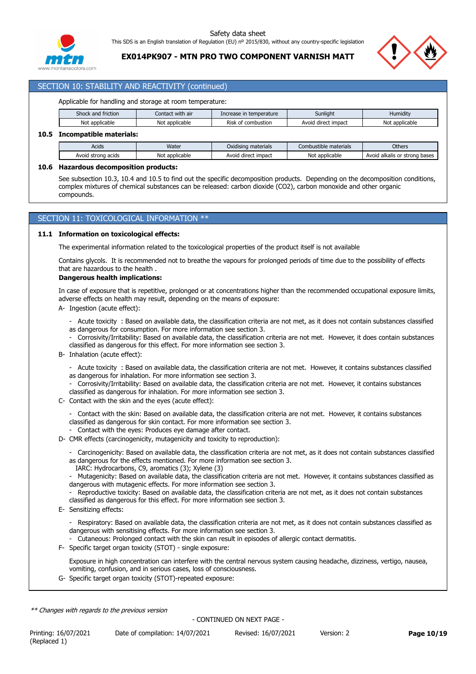

**10.5 Incompatible materials:**

Safety data sheet This SDS is an English translation of Regulation (EU) nº 2015/830, without any country-specific legislation

**EX014PK907 - MTN PRO TWO COMPONENT VARNISH MATT**



# SECTION 10: STABILITY AND REACTIVITY (continued)

Applicable for handling and storage at room temperature:

| Shock and friction      | Contact with air | Increase in temperature | Sunlight            | Humidity       |
|-------------------------|------------------|-------------------------|---------------------|----------------|
| Not applicable          | Not applicable   | Risk of combustion      | Avoid direct impact | Not applicable |
| Incompatible materials: |                  |                         |                     |                |
|                         |                  |                         |                     |                |

| Acids                    | Water               | $\cdots$<br>materials<br>Oxidisina | $\cdots$<br>e materials<br>Combustible | Others                                       |
|--------------------------|---------------------|------------------------------------|----------------------------------------|----------------------------------------------|
| Avoir<br>acids<br>strona | Not<br>: applicable | direct impact<br>Avoic             | * applicable<br>No                     | Avoid<br>t alkalis<br>t bases<br>, or strona |

## **10.6 Hazardous decomposition products:**

See subsection 10.3, 10.4 and 10.5 to find out the specific decomposition products. Depending on the decomposition conditions, complex mixtures of chemical substances can be released: carbon dioxide (CO2), carbon monoxide and other organic compounds.

# SECTION 11: TOXICOLOGICAL INFORMATION \*\*

#### **11.1 Information on toxicological effects:**

The experimental information related to the toxicological properties of the product itself is not available

Contains glycols. It is recommended not to breathe the vapours for prolonged periods of time due to the possibility of effects that are hazardous to the health .

#### **Dangerous health implications:**

In case of exposure that is repetitive, prolonged or at concentrations higher than the recommended occupational exposure limits, adverse effects on health may result, depending on the means of exposure:

- A- Ingestion (acute effect):
	- Acute toxicity : Based on available data, the classification criteria are not met, as it does not contain substances classified as dangerous for consumption. For more information see section 3.
	- Corrosivity/Irritability: Based on available data, the classification criteria are not met. However, it does contain substances classified as dangerous for this effect. For more information see section 3.
- B- Inhalation (acute effect):
	- Acute toxicity : Based on available data, the classification criteria are not met. However, it contains substances classified as dangerous for inhalation. For more information see section 3.
	- Corrosivity/Irritability: Based on available data, the classification criteria are not met. However, it contains substances classified as dangerous for inhalation. For more information see section 3.
- C- Contact with the skin and the eyes (acute effect):
	- Contact with the skin: Based on available data, the classification criteria are not met. However, it contains substances classified as dangerous for skin contact. For more information see section 3.
	- Contact with the eyes: Produces eye damage after contact.
- D- CMR effects (carcinogenicity, mutagenicity and toxicity to reproduction):
	- Carcinogenicity: Based on available data, the classification criteria are not met, as it does not contain substances classified as dangerous for the effects mentioned. For more information see section 3.
	-
	- IARC: Hydrocarbons, C9, aromatics (3); Xylene (3)
	- Mutagenicity: Based on available data, the classification criteria are not met. However, it contains substances classified as dangerous with mutagenic effects. For more information see section 3.
	- Reproductive toxicity: Based on available data, the classification criteria are not met, as it does not contain substances classified as dangerous for this effect. For more information see section 3.
- E- Sensitizing effects:
	- Respiratory: Based on available data, the classification criteria are not met, as it does not contain substances classified as dangerous with sensitising effects. For more information see section 3.
	- Cutaneous: Prolonged contact with the skin can result in episodes of allergic contact dermatitis.
- F- Specific target organ toxicity (STOT) single exposure:

Exposure in high concentration can interfere with the central nervous system causing headache, dizziness, vertigo, nausea, vomiting, confusion, and in serious cases, loss of consciousness.

G- Specific target organ toxicity (STOT)-repeated exposure:

*\*\* Changes with regards to the previous version*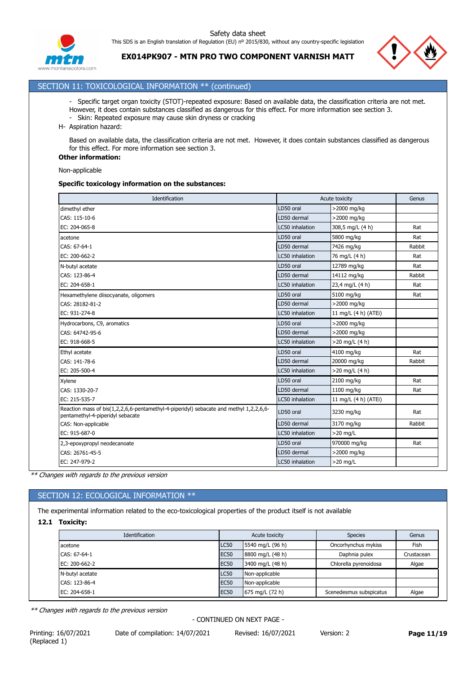

**EX014PK907 - MTN PRO TWO COMPONENT VARNISH MATT**



# SECTION 11: TOXICOLOGICAL INFORMATION \*\* (continued)

- Specific target organ toxicity (STOT)-repeated exposure: Based on available data, the classification criteria are not met.

- However, it does contain substances classified as dangerous for this effect. For more information see section 3.
- Skin: Repeated exposure may cause skin dryness or cracking
- H- Aspiration hazard:

Based on available data, the classification criteria are not met. However, it does contain substances classified as dangerous for this effect. For more information see section 3.

# **Other information:**

Non-applicable

#### **Specific toxicology information on the substances:**

| Identification                                                                                                             |                 | Acute toxicity       |        |  |
|----------------------------------------------------------------------------------------------------------------------------|-----------------|----------------------|--------|--|
| dimethyl ether                                                                                                             | LD50 oral       | >2000 mg/kg          |        |  |
| CAS: 115-10-6                                                                                                              | LD50 dermal     | >2000 mg/kg          |        |  |
| EC: 204-065-8                                                                                                              | LC50 inhalation | 308,5 mg/L (4 h)     | Rat    |  |
| acetone                                                                                                                    | LD50 oral       | 5800 mg/kg           | Rat    |  |
| CAS: 67-64-1                                                                                                               | LD50 dermal     | 7426 mg/kg           | Rabbit |  |
| EC: 200-662-2                                                                                                              | LC50 inhalation | 76 mg/L (4 h)        | Rat    |  |
| N-butyl acetate                                                                                                            | LD50 oral       | 12789 mg/kg          | Rat    |  |
| CAS: 123-86-4                                                                                                              | LD50 dermal     | 14112 mg/kg          | Rabbit |  |
| EC: 204-658-1                                                                                                              | LC50 inhalation | 23,4 mg/L (4 h)      | Rat    |  |
| Hexamethylene diisocyanate, oligomers                                                                                      | LD50 oral       | 5100 mg/kg           | Rat    |  |
| CAS: 28182-81-2                                                                                                            | LD50 dermal     | >2000 mg/kg          |        |  |
| EC: 931-274-8                                                                                                              | LC50 inhalation | 11 mg/L (4 h) (ATEi) |        |  |
| Hydrocarbons, C9, aromatics                                                                                                | LD50 oral       | >2000 mg/kg          |        |  |
| CAS: 64742-95-6                                                                                                            | LD50 dermal     | >2000 mg/kg          |        |  |
| EC: 918-668-5                                                                                                              | LC50 inhalation | $>20$ mg/L (4 h)     |        |  |
| Ethyl acetate                                                                                                              | LD50 oral       | 4100 mg/kg           | Rat    |  |
| CAS: 141-78-6                                                                                                              | LD50 dermal     | 20000 mg/kg          | Rabbit |  |
| EC: 205-500-4                                                                                                              | LC50 inhalation | $>20$ mg/L (4 h)     |        |  |
| Xylene                                                                                                                     | LD50 oral       | 2100 mg/kg           | Rat    |  |
| CAS: 1330-20-7                                                                                                             | LD50 dermal     | 1100 mg/kg           | Rat    |  |
| EC: 215-535-7                                                                                                              | LC50 inhalation | 11 mg/L (4 h) (ATEi) |        |  |
| Reaction mass of bis(1,2,2,6,6-pentamethyl-4-piperidyl) sebacate and methyl 1,2,2,6,6-<br>pentamethyl-4-piperidyl sebacate | LD50 oral       | 3230 mg/kg           | Rat    |  |
| CAS: Non-applicable                                                                                                        | LD50 dermal     | 3170 mg/kg           | Rabbit |  |
| EC: 915-687-0                                                                                                              | LC50 inhalation | $>20$ mg/L           |        |  |
| 2,3-epoxypropyl neodecanoate                                                                                               | LD50 oral       | 970000 mg/kg         | Rat    |  |
| CAS: 26761-45-5                                                                                                            | LD50 dermal     | >2000 mg/kg          |        |  |
| EC: 247-979-2                                                                                                              | LC50 inhalation | $>20$ mg/L           |        |  |

*\*\* Changes with regards to the previous version*

# SECTION 12: ECOLOGICAL INFORMATION \*\*

The experimental information related to the eco-toxicological properties of the product itself is not available

**12.1 Toxicity:**

| Identification  |             | Acute toxicity   | <b>Species</b>          | Genus      |
|-----------------|-------------|------------------|-------------------------|------------|
| acetone         | <b>LC50</b> | 5540 mg/L (96 h) | Oncorhynchus mykiss     | Fish       |
| CAS: 67-64-1    | <b>EC50</b> | 8800 mg/L (48 h) | Daphnia pulex           | Crustacean |
| $EC: 200-662-2$ | <b>EC50</b> | 3400 mg/L (48 h) | Chlorella pyrenoidosa   | Algae      |
| N-butyl acetate | <b>LC50</b> | Non-applicable   |                         |            |
| CAS: 123-86-4   | <b>EC50</b> | Non-applicable   |                         |            |
| EC: 204-658-1   | <b>EC50</b> | 675 mg/L (72 h)  | Scenedesmus subspicatus | Algae      |

*\*\* Changes with regards to the previous version*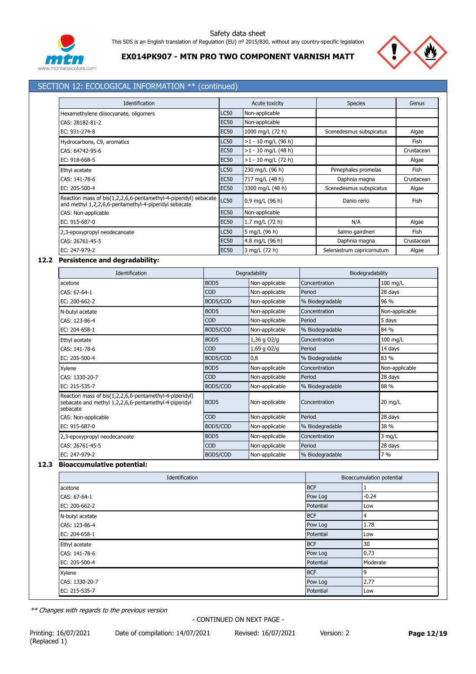



# **EX014PK907 - MTN PRO TWO COMPONENT VARNISH MATT**

# SECTION 12: ECOLOGICAL INFORMATION \*\* (continued)

| Identification                                                                                                            |             | Acute toxicity            | <b>Species</b>            | Genus      |
|---------------------------------------------------------------------------------------------------------------------------|-------------|---------------------------|---------------------------|------------|
| Hexamethylene diisocyanate, oligomers                                                                                     | LC50        | Non-applicable            |                           |            |
| CAS: 28182-81-2                                                                                                           | <b>EC50</b> | Non-applicable            |                           |            |
| EC: 931-274-8                                                                                                             | <b>EC50</b> | 1000 mg/L (72 h)          | Scenedesmus subspicatus   | Algae      |
| Hydrocarbons, C9, aromatics                                                                                               | LC50        | $>1 - 10$ mg/L (96 h)     |                           | Fish       |
| CAS: 64742-95-6                                                                                                           |             | $>1 - 10$ mg/L (48 h)     |                           | Crustacean |
| EC: 918-668-5                                                                                                             | <b>EC50</b> | $>1 - 10$ mg/L (72 h)     |                           | Algae      |
| Ethyl acetate                                                                                                             | LC50        | 230 mg/L (96 h)           | Pimephales promelas       | Fish       |
| CAS: 141-78-6                                                                                                             | <b>EC50</b> | 717 mg/L (48 h)           | Daphnia magna             | Crustacean |
| EC: 205-500-4                                                                                                             | <b>EC50</b> | 3300 mg/L (48 h)          | Scenedesmus subspicatus   | Algae      |
| Reaction mass of bis(1,2,2,6,6-pentamethyl-4-piperidyl) sebacate<br>and methyl 1,2,2,6,6-pentamethyl-4-piperidyl sebacate | <b>LC50</b> | $0.9 \text{ mg/L}$ (96 h) | Danio rerio               | Fish       |
| CAS: Non-applicable                                                                                                       | <b>EC50</b> | Non-applicable            |                           |            |
| EC: 915-687-0                                                                                                             | <b>EC50</b> | 1.7 mg/L $(72 h)$         | N/A                       | Algae      |
| 2,3-epoxypropyl neodecanoate                                                                                              | LC50        | 5 mg/L (96 h)             | Salmo gairdneri           | Fish       |
| CAS: 26761-45-5                                                                                                           | <b>EC50</b> | 4.8 mg/L (96 h)           | Daphnia magna             | Crustacean |
| EC: 247-979-2                                                                                                             | <b>EC50</b> | 3 mg/L (72 h)             | Selenastrum capricornutum | Algae      |

# **12.2 Persistence and degradability:**

| Identification                                                                                                               |                  | Degradability  | Biodegradability |                    |
|------------------------------------------------------------------------------------------------------------------------------|------------------|----------------|------------------|--------------------|
| acetone                                                                                                                      | BOD <sub>5</sub> | Non-applicable | Concentration    | 100 mg/L           |
| CAS: 67-64-1                                                                                                                 | <b>COD</b>       | Non-applicable | Period           | 28 days            |
| EC: 200-662-2                                                                                                                | BOD5/COD         | Non-applicable | % Biodegradable  | 96 %               |
| N-butyl acetate                                                                                                              | BOD <sub>5</sub> | Non-applicable | Concentration    | Non-applicable     |
| CAS: 123-86-4                                                                                                                | <b>COD</b>       | Non-applicable | Period           | 5 days             |
| EC: 204-658-1                                                                                                                | BOD5/COD         | Non-applicable | % Biodegradable  | 84 %               |
| Ethyl acetate                                                                                                                | BOD <sub>5</sub> | $1,36$ g O2/g  | Concentration    | $100 \text{ mg/L}$ |
| CAS: 141-78-6                                                                                                                | <b>COD</b>       | 1,69 g O2/g    | Period           | 14 days            |
| EC: 205-500-4                                                                                                                | BOD5/COD         | 0,8            | % Biodegradable  | 83 %               |
| Xylene                                                                                                                       | BOD <sub>5</sub> | Non-applicable | Concentration    | Non-applicable     |
| CAS: 1330-20-7                                                                                                               | <b>COD</b>       | Non-applicable | Period           | 28 days            |
| EC: 215-535-7                                                                                                                | BOD5/COD         | Non-applicable | % Biodegradable  | 88 %               |
| Reaction mass of bis(1,2,2,6,6-pentamethyl-4-piperidyl)<br>sebacate and methyl 1,2,2,6,6-pentamethyl-4-piperidyl<br>sebacate | BOD <sub>5</sub> | Non-applicable | Concentration    | $20$ mg/L          |
| CAS: Non-applicable                                                                                                          | <b>COD</b>       | Non-applicable | Period           | 28 days            |
| EC: 915-687-0                                                                                                                | BOD5/COD         | Non-applicable | % Biodegradable  | 38 %               |
| 2,3-epoxypropyl neodecanoate                                                                                                 | BOD <sub>5</sub> | Non-applicable | Concentration    | 3 mg/L             |
| CAS: 26761-45-5                                                                                                              | <b>COD</b>       | Non-applicable | Period           | 28 days            |
| EC: 247-979-2                                                                                                                | BOD5/COD         | Non-applicable | % Biodegradable  | 7 %                |

# **12.3 Bioaccumulative potential:**

| Identification  | Bioaccumulation potential |          |  |
|-----------------|---------------------------|----------|--|
| acetone         | <b>BCF</b>                |          |  |
| CAS: 67-64-1    | Pow Log                   | $-0.24$  |  |
| EC: 200-662-2   | Potential                 | Low      |  |
| N-butyl acetate | <b>BCF</b>                | 4        |  |
| CAS: 123-86-4   | Pow Log                   | 1.78     |  |
| EC: 204-658-1   | Potential                 | Low      |  |
| Ethyl acetate   | <b>BCF</b>                | 30       |  |
| CAS: 141-78-6   | Pow Log                   | 0.73     |  |
| EC: 205-500-4   | Potential                 | Moderate |  |
| Xylene          | <b>BCF</b>                | 9        |  |
| CAS: 1330-20-7  | Pow Log                   | 2.77     |  |
| EC: 215-535-7   | Potential                 | Low      |  |

*\*\* Changes with regards to the previous version*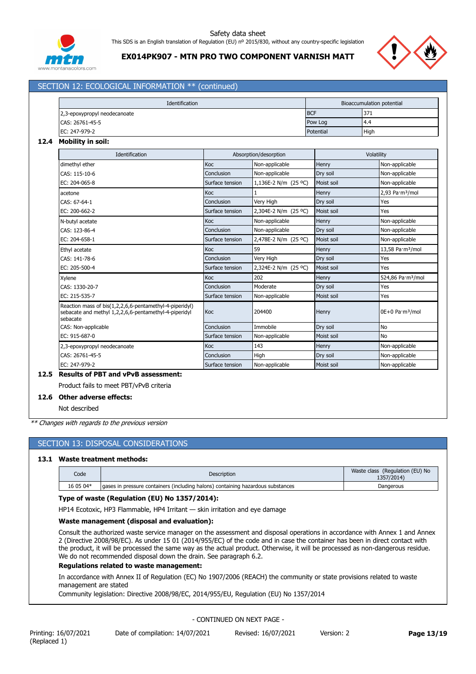

# **EX014PK907 - MTN PRO TWO COMPONENT VARNISH MATT**



# SECTION 12: ECOLOGICAL INFORMATION \*\* (continued)

| Identification               |            | Bioaccumulation potential |
|------------------------------|------------|---------------------------|
| 2,3-epoxypropyl neodecanoate | <b>BCF</b> | 371                       |
| CAS: 26761-45-5              | Pow Log    | 14.4                      |
| EC: 247-979-2                | Potential  | High                      |

#### **12.4 Mobility in soil:**

| Identification                                                                                                               |                 | Absorption/desorption | Volatility |                               |
|------------------------------------------------------------------------------------------------------------------------------|-----------------|-----------------------|------------|-------------------------------|
| dimethyl ether                                                                                                               | Koc             | Non-applicable        | Henry      | Non-applicable                |
| CAS: 115-10-6                                                                                                                | Conclusion      | Non-applicable        | Dry soil   | Non-applicable                |
| EC: 204-065-8                                                                                                                | Surface tension | 1,136E-2 N/m (25 °C)  | Moist soil | Non-applicable                |
| acetone                                                                                                                      | Koc             |                       | Henry      | 2,93 Pa·m <sup>3</sup> /mol   |
| CAS: 67-64-1                                                                                                                 | Conclusion      | Very High             | Dry soil   | Yes                           |
| EC: 200-662-2                                                                                                                | Surface tension | 2,304E-2 N/m (25 °C)  | Moist soil | Yes                           |
| N-butyl acetate                                                                                                              | Koc             | Non-applicable        | Henry      | Non-applicable                |
| CAS: 123-86-4                                                                                                                | Conclusion      | Non-applicable        | Dry soil   | Non-applicable                |
| EC: 204-658-1                                                                                                                | Surface tension | 2,478E-2 N/m (25 °C)  | Moist soil | Non-applicable                |
| Ethyl acetate                                                                                                                | Koc             | 59                    | Henry      | 13,58 Pa·m <sup>3</sup> /mol  |
| CAS: 141-78-6                                                                                                                | Conclusion      | Very High             | Dry soil   | Yes                           |
| EC: 205-500-4                                                                                                                | Surface tension | 2,324E-2 N/m (25 °C)  | Moist soil | Yes                           |
| Xylene                                                                                                                       | Koc             | 202                   | Henry      | 524,86 Pa·m <sup>3</sup> /mol |
| CAS: 1330-20-7                                                                                                               | Conclusion      | Moderate              | Dry soil   | Yes                           |
| EC: 215-535-7                                                                                                                | Surface tension | Non-applicable        | Moist soil | Yes                           |
| Reaction mass of bis(1,2,2,6,6-pentamethyl-4-piperidyl)<br>sebacate and methyl 1,2,2,6,6-pentamethyl-4-piperidyl<br>sebacate | Koc             | 204400                | Henry      | 0E+0 Pa·m <sup>3</sup> /mol   |
| CAS: Non-applicable                                                                                                          | Conclusion      | Immobile              | Dry soil   | <b>No</b>                     |
| EC: 915-687-0                                                                                                                | Surface tension | Non-applicable        | Moist soil | <b>No</b>                     |
| 2,3-epoxypropyl neodecanoate                                                                                                 | Koc             | 143                   | Henry      | Non-applicable                |
| CAS: 26761-45-5                                                                                                              | Conclusion      | High                  | Dry soil   | Non-applicable                |
| EC: 247-979-2                                                                                                                | Surface tension | Non-applicable        | Moist soil | Non-applicable                |

# **12.5 Results of PBT and vPvB assessment:**

Product fails to meet PBT/vPvB criteria

#### **12.6 Other adverse effects:**

Not described

*\*\* Changes with regards to the previous version*

# SECTION 13: DISPOSAL CONSIDERATIONS

# **13.1 Waste treatment methods:**

| Code      | <b>Description</b>                                                              | Waste class (Regulation (EU) No<br>1357/2014) |
|-----------|---------------------------------------------------------------------------------|-----------------------------------------------|
| 16 05 04* | gases in pressure containers (including halons) containing hazardous substances | Dangerous                                     |

#### **Type of waste (Regulation (EU) No 1357/2014):**

HP14 Ecotoxic, HP3 Flammable, HP4 Irritant — skin irritation and eye damage

# **Waste management (disposal and evaluation):**

Consult the authorized waste service manager on the assessment and disposal operations in accordance with Annex 1 and Annex 2 (Directive 2008/98/EC). As under 15 01 (2014/955/EC) of the code and in case the container has been in direct contact with the product, it will be processed the same way as the actual product. Otherwise, it will be processed as non-dangerous residue. We do not recommended disposal down the drain. See paragraph 6.2.

# **Regulations related to waste management:**

In accordance with Annex II of Regulation (EC) No 1907/2006 (REACH) the community or state provisions related to waste management are stated

Community legislation: Directive 2008/98/EC, 2014/955/EU, Regulation (EU) No 1357/2014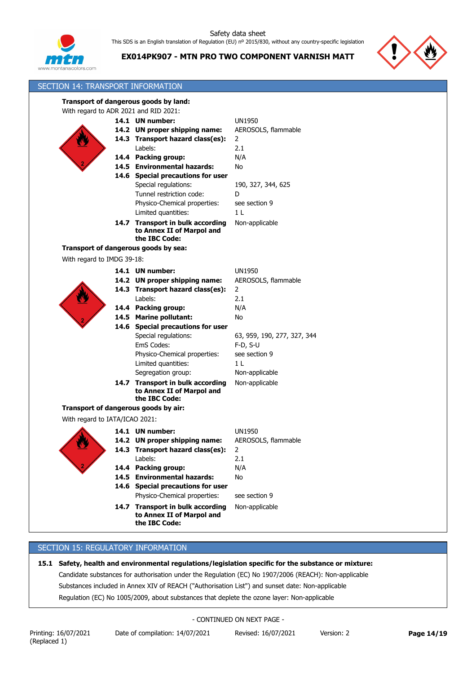



| SECTION 14: TRANSPORT INFORMATION     |                                                                                |                             |
|---------------------------------------|--------------------------------------------------------------------------------|-----------------------------|
|                                       | Transport of dangerous goods by land:                                          |                             |
| With regard to ADR 2021 and RID 2021: |                                                                                |                             |
|                                       | 14.1 UN number:                                                                | <b>UN1950</b>               |
|                                       | 14.2 UN proper shipping name:                                                  | AEROSOLS, flammable         |
|                                       | 14.3 Transport hazard class(es):                                               | 2                           |
|                                       | Labels:                                                                        | 2.1                         |
|                                       | 14.4 Packing group:                                                            | N/A                         |
|                                       | 14.5 Environmental hazards:                                                    | No                          |
|                                       | 14.6 Special precautions for user                                              |                             |
|                                       | Special regulations:                                                           | 190, 327, 344, 625          |
|                                       | Tunnel restriction code:                                                       | D                           |
|                                       | Physico-Chemical properties:                                                   | see section 9               |
|                                       | Limited quantities:                                                            | 1 <sub>L</sub>              |
|                                       | 14.7 Transport in bulk according                                               | Non-applicable              |
|                                       | to Annex II of Marpol and                                                      |                             |
|                                       | the IBC Code:                                                                  |                             |
|                                       | Transport of dangerous goods by sea:                                           |                             |
| With regard to IMDG 39-18:            |                                                                                |                             |
|                                       | 14.1 UN number:                                                                | <b>UN1950</b>               |
|                                       | 14.2 UN proper shipping name:                                                  | AEROSOLS, flammable         |
|                                       | 14.3 Transport hazard class(es):                                               | $\overline{2}$              |
|                                       | Labels:                                                                        | 2.1                         |
|                                       | 14.4 Packing group:                                                            | N/A                         |
|                                       | 14.5 Marine pollutant:                                                         | No                          |
|                                       | 14.6 Special precautions for user                                              |                             |
|                                       | Special regulations:                                                           | 63, 959, 190, 277, 327, 344 |
|                                       | EmS Codes:                                                                     | $F-D, S-U$                  |
|                                       | Physico-Chemical properties:                                                   | see section 9               |
|                                       | Limited quantities:                                                            | 1 <sub>L</sub>              |
|                                       | Segregation group:                                                             | Non-applicable              |
|                                       | 14.7 Transport in bulk according<br>to Annex II of Marpol and                  | Non-applicable              |
|                                       | the IBC Code:                                                                  |                             |
|                                       | Transport of dangerous goods by air:                                           |                             |
| With regard to IATA/ICAO 2021:        |                                                                                |                             |
|                                       | 14.1 UN number:                                                                | <b>UN1950</b>               |
|                                       | 14.2 UN proper shipping name:                                                  | AEROSOLS, flammable         |
| <u>V7</u>                             | 14.3 Transport hazard class(es):                                               | 2                           |
|                                       | Labels:                                                                        | 2.1                         |
|                                       | 14.4 Packing group:                                                            | N/A                         |
|                                       | 14.5 Environmental hazards:                                                    | No                          |
|                                       | 14.6 Special precautions for user                                              |                             |
|                                       | Physico-Chemical properties:                                                   | see section 9               |
|                                       | 14.7 Transport in bulk according<br>to Annex II of Marpol and<br>the IBC Code: | Non-applicable              |

# SECTION 15: REGULATORY INFORMATION

# **15.1 Safety, health and environmental regulations/legislation specific for the substance or mixture:**

Candidate substances for authorisation under the Regulation (EC) No 1907/2006 (REACH): Non-applicable

Substances included in Annex XIV of REACH ("Authorisation List") and sunset date: Non-applicable

Regulation (EC) No 1005/2009, about substances that deplete the ozone layer: Non-applicable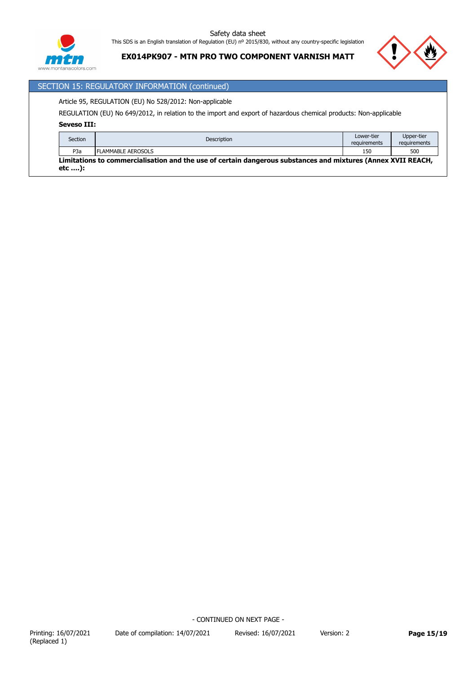



**EX014PK907 - MTN PRO TWO COMPONENT VARNISH MATT**

# SECTION 15: REGULATORY INFORMATION (continued)

Article 95, REGULATION (EU) No 528/2012: Non-applicable

REGULATION (EU) No 649/2012, in relation to the import and export of hazardous chemical products: Non-applicable

#### **Seveso III:**

| Section  | Description                                                                                                  | Lower-tier<br>requirements | Upper-tier<br>requirements |  |  |  |  |
|----------|--------------------------------------------------------------------------------------------------------------|----------------------------|----------------------------|--|--|--|--|
| P3a      | <b>FLAMMABLE AEROSOLS</b>                                                                                    | 150                        | 500                        |  |  |  |  |
|          | Limitations to commercialisation and the use of certain dangerous substances and mixtures (Annex XVII REACH, |                            |                            |  |  |  |  |
| $etc$ ): |                                                                                                              |                            |                            |  |  |  |  |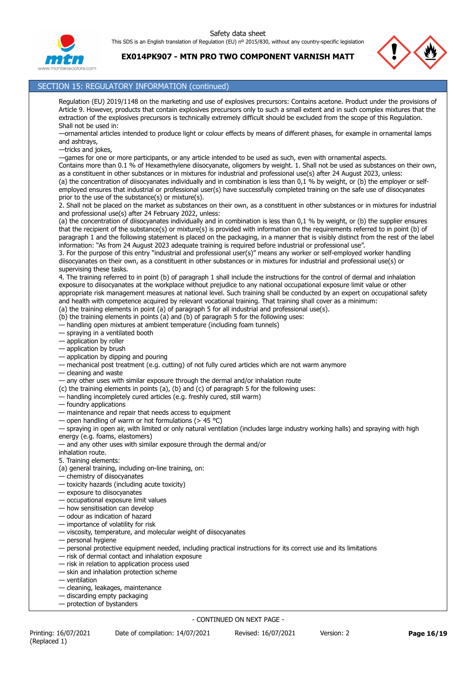



# SECTION 15: REGULATORY INFORMATION (continued)

Regulation (EU) 2019/1148 on the marketing and use of explosives precursors: Contains acetone. Product under the provisions of Article 9. However, products that contain explosives precursors only to such a small extent and in such complex mixtures that the extraction of the explosives precursors is technically extremely difficult should be excluded from the scope of this Regulation. Shall not be used in:

—ornamental articles intended to produce light or colour effects by means of different phases, for example in ornamental lamps and ashtrays,

—tricks and jokes,

—games for one or more participants, or any article intended to be used as such, even with ornamental aspects.

Contains more than 0.1 % of Hexamethylene diisocyanate, oligomers by weight. 1. Shall not be used as substances on their own, as a constituent in other substances or in mixtures for industrial and professional use(s) after 24 August 2023, unless: (a) the concentration of diisocyanates individually and in combination is less than 0,1 % by weight, or (b) the employer or selfemployed ensures that industrial or professional user(s) have successfully completed training on the safe use of diisocyanates

prior to the use of the substance(s) or mixture(s). 2. Shall not be placed on the market as substances on their own, as a constituent in other substances or in mixtures for industrial and professional use(s) after 24 February 2022, unless:

(a) the concentration of diisocyanates individually and in combination is less than 0,1 % by weight, or (b) the supplier ensures that the recipient of the substance(s) or mixture(s) is provided with information on the requirements referred to in point (b) of paragraph 1 and the following statement is placed on the packaging, in a manner that is visibly distinct from the rest of the label information: "As from 24 August 2023 adequate training is required before industrial or professional use".

3. For the purpose of this entry "industrial and professional user(s)" means any worker or self-employed worker handling diisocyanates on their own, as a constituent in other substances or in mixtures for industrial and professional use(s) or supervising these tasks.

4. The training referred to in point (b) of paragraph 1 shall include the instructions for the control of dermal and inhalation exposure to diisocyanates at the workplace without prejudice to any national occupational exposure limit value or other appropriate risk management measures at national level. Such training shall be conducted by an expert on occupational safety and health with competence acquired by relevant vocational training. That training shall cover as a minimum:

(a) the training elements in point (a) of paragraph 5 for all industrial and professional use(s).

(b) the training elements in points (a) and (b) of paragraph 5 for the following uses:

— handling open mixtures at ambient temperature (including foam tunnels)

— spraying in a ventilated booth

— application by roller

- application by brush
- application by dipping and pouring

— mechanical post treatment (e.g. cutting) of not fully cured articles which are not warm anymore

— cleaning and waste

— any other uses with similar exposure through the dermal and/or inhalation route

- (c) the training elements in points (a), (b) and (c) of paragraph 5 for the following uses:
- handling incompletely cured articles (e.g. freshly cured, still warm)
- foundry applications
- maintenance and repair that needs access to equipment
- open handling of warm or hot formulations ( $>$  45 °C)

— spraying in open air, with limited or only natural ventilation (includes large industry working halls) and spraying with high energy (e.g. foams, elastomers)

— and any other uses with similar exposure through the dermal and/or

inhalation route.

5. Training elements:

- (a) general training, including on-line training, on:
- chemistry of diisocyanates
- toxicity hazards (including acute toxicity)
- exposure to diisocyanates
- occupational exposure limit values
- how sensitisation can develop
- odour as indication of hazard
- importance of volatility for risk
- viscosity, temperature, and molecular weight of diisocyanates
- personal hygiene
- personal protective equipment needed, including practical instructions for its correct use and its limitations
- risk of dermal contact and inhalation exposure
- risk in relation to application process used
- skin and inhalation protection scheme
- ventilation
- cleaning, leakages, maintenance
- discarding empty packaging
- protection of bystanders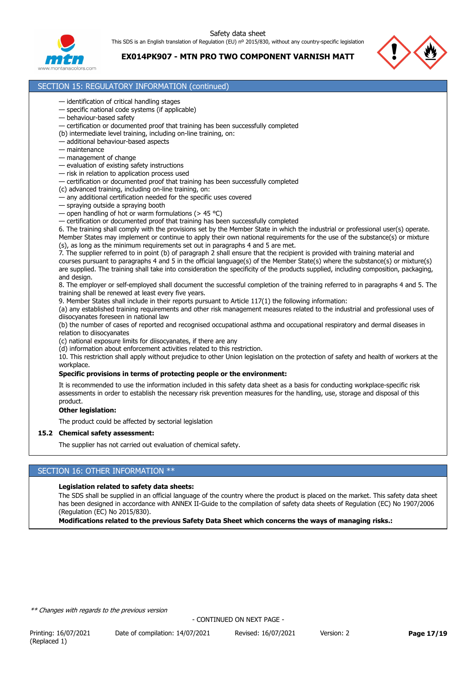Safety data sheet

This SDS is an English translation of Regulation (EU) nº 2015/830, without any country-specific legislation



**EX014PK907 - MTN PRO TWO COMPONENT VARNISH MATT**



# SECTION 15: REGULATORY INFORMATION (continued)

- identification of critical handling stages
- specific national code systems (if applicable)
- behaviour-based safety
- certification or documented proof that training has been successfully completed
- (b) intermediate level training, including on-line training, on:
- additional behaviour-based aspects
- maintenance
- management of change
- evaluation of existing safety instructions
- risk in relation to application process used
- certification or documented proof that training has been successfully completed
- (c) advanced training, including on-line training, on:
- any additional certification needed for the specific uses covered
- spraying outside a spraying booth
- open handling of hot or warm formulations ( $> 45$  °C)
- certification or documented proof that training has been successfully completed

6. The training shall comply with the provisions set by the Member State in which the industrial or professional user(s) operate. Member States may implement or continue to apply their own national requirements for the use of the substance(s) or mixture (s), as long as the minimum requirements set out in paragraphs 4 and 5 are met.

7. The supplier referred to in point (b) of paragraph 2 shall ensure that the recipient is provided with training material and courses pursuant to paragraphs 4 and 5 in the official language(s) of the Member State(s) where the substance(s) or mixture(s) are supplied. The training shall take into consideration the specificity of the products supplied, including composition, packaging, and design.

8. The employer or self-employed shall document the successful completion of the training referred to in paragraphs 4 and 5. The training shall be renewed at least every five years.

9. Member States shall include in their reports pursuant to Article 117(1) the following information:

(a) any established training requirements and other risk management measures related to the industrial and professional uses of diisocyanates foreseen in national law

(b) the number of cases of reported and recognised occupational asthma and occupational respiratory and dermal diseases in relation to diisocyanates

- (c) national exposure limits for diisocyanates, if there are any
- (d) information about enforcement activities related to this restriction.

10. This restriction shall apply without prejudice to other Union legislation on the protection of safety and health of workers at the workplace.

# **Specific provisions in terms of protecting people or the environment:**

It is recommended to use the information included in this safety data sheet as a basis for conducting workplace-specific risk assessments in order to establish the necessary risk prevention measures for the handling, use, storage and disposal of this product.

# **Other legislation:**

The product could be affected by sectorial legislation

# **15.2 Chemical safety assessment:**

The supplier has not carried out evaluation of chemical safety.

# SECTION 16: OTHER INFORMATION \*\*

#### **Legislation related to safety data sheets:**

The SDS shall be supplied in an official language of the country where the product is placed on the market. This safety data sheet has been designed in accordance with ANNEX II-Guide to the compilation of safety data sheets of Regulation (EC) No 1907/2006 (Regulation (EC) No 2015/830).

**Modifications related to the previous Safety Data Sheet which concerns the ways of managing risks.:**

*\*\* Changes with regards to the previous version*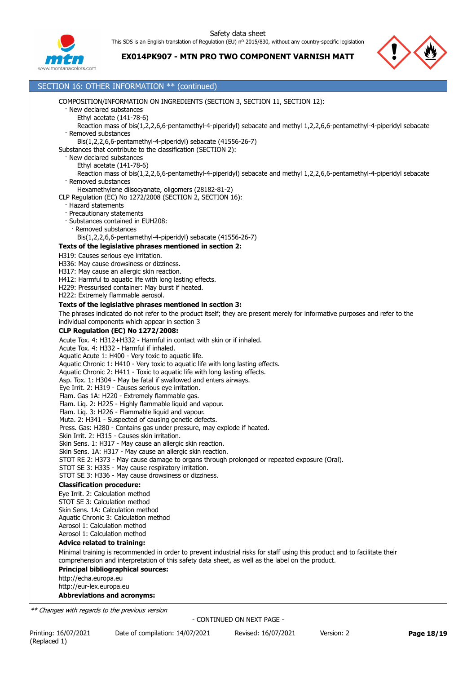



# SECTION 16: OTHER INFORMATION \*\* (continued) COMPOSITION/INFORMATION ON INGREDIENTS (SECTION 3, SECTION 11, SECTION 12): · New declared substances Ethyl acetate (141-78-6) Reaction mass of bis(1,2,2,6,6-pentamethyl-4-piperidyl) sebacate and methyl 1,2,2,6,6-pentamethyl-4-piperidyl sebacate · Removed substances Bis(1,2,2,6,6-pentamethyl-4-piperidyl) sebacate (41556-26-7) Substances that contribute to the classification (SECTION 2): · New declared substances Ethyl acetate (141-78-6) Reaction mass of bis(1,2,2,6,6-pentamethyl-4-piperidyl) sebacate and methyl 1,2,2,6,6-pentamethyl-4-piperidyl sebacate · Removed substances Hexamethylene diisocyanate, oligomers (28182-81-2) CLP Regulation (EC) No 1272/2008 (SECTION 2, SECTION 16): · Hazard statements · Precautionary statements · Substances contained in EUH208: Removed substances Bis(1,2,2,6,6-pentamethyl-4-piperidyl) sebacate (41556-26-7) **Texts of the legislative phrases mentioned in section 2:** H319: Causes serious eye irritation. H336: May cause drowsiness or dizziness. H317: May cause an allergic skin reaction. H412: Harmful to aquatic life with long lasting effects. H229: Pressurised container: May burst if heated. H222: Extremely flammable aerosol. **Texts of the legislative phrases mentioned in section 3:** The phrases indicated do not refer to the product itself; they are present merely for informative purposes and refer to the individual components which appear in section 3 **CLP Regulation (EC) No 1272/2008:** Acute Tox. 4: H312+H332 - Harmful in contact with skin or if inhaled. Acute Tox. 4: H332 - Harmful if inhaled. Aquatic Acute 1: H400 - Very toxic to aquatic life. Aquatic Chronic 1: H410 - Very toxic to aquatic life with long lasting effects. Aquatic Chronic 2: H411 - Toxic to aquatic life with long lasting effects. Asp. Tox. 1: H304 - May be fatal if swallowed and enters airways. Eye Irrit. 2: H319 - Causes serious eye irritation. Flam. Gas 1A: H220 - Extremely flammable gas. Flam. Liq. 2: H225 - Highly flammable liquid and vapour. Flam. Liq. 3: H226 - Flammable liquid and vapour. Muta. 2: H341 - Suspected of causing genetic defects. Press. Gas: H280 - Contains gas under pressure, may explode if heated. Skin Irrit. 2: H315 - Causes skin irritation. Skin Sens. 1: H317 - May cause an allergic skin reaction. Skin Sens. 1A: H317 - May cause an allergic skin reaction. STOT RE 2: H373 - May cause damage to organs through prolonged or repeated exposure (Oral). STOT SE 3: H335 - May cause respiratory irritation. STOT SE 3: H336 - May cause drowsiness or dizziness. **Classification procedure:** Eye Irrit. 2: Calculation method STOT SE 3: Calculation method Skin Sens. 1A: Calculation method Aquatic Chronic 3: Calculation method Aerosol 1: Calculation method Aerosol 1: Calculation method **Advice related to training:** Minimal training is recommended in order to prevent industrial risks for staff using this product and to facilitate their comprehension and interpretation of this safety data sheet, as well as the label on the product. **Principal bibliographical sources:** http://echa.europa.eu http://eur-lex.europa.eu **Abbreviations and acronyms:**

*\*\* Changes with regards to the previous version*